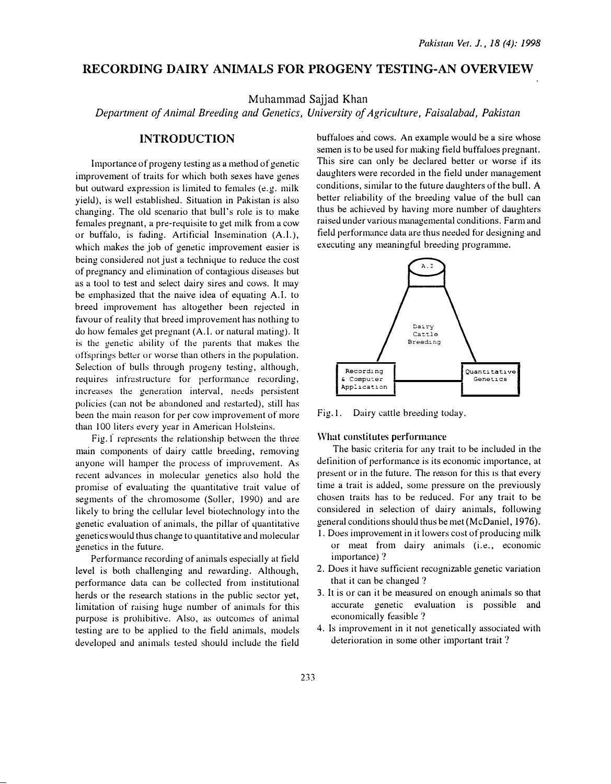# RECORDING DAIRY ANIMALS FOR PROGENY TESTING-AN OVERVIEW

Muhammad Sajjad Khan

Department of Animal Breeding and Genetics, University of Agriculture, Faisalabad, Pakistan

# INTRODUCTION

Importance of progeny testing as a method of genetic improvement of traits for which both sexes have genes but outward expression is limited to females (e.g. milk yield), is well established. Situation in Pakistan is also changing. The old scenario that hull's role is to make females pregnant, a pre-requisite to get milk from a cow or buffalo, is fading. Artificial Insemination (A.l.), which makes the job of genetic improvement easier is being considered not just a technique to reduce the cost of pregnancy and elimination of contagious diseases but as a tool to test and select dairy sires and cows. It may be emphasized that the naive idea of equating A.l. to breed improvement has altogether been rejected in favour of reality that breed improvement has nothing to do how females get pregnant (A. I. or natural mating). It is the genetic ability of the parents that makes the offsprings better or worse than others in the population. Selection of bulls through progeny testing, although, requires infrastructure for performance recording, increases the generation interval, needs persistent policies (can not be abandoned and restarted), still has been the main reason for per cow improvement of more than 100 liters every year in American Holsteins.

Fig. f represents the relationship between the three main components of dairy cattle breeding, removing anyone will hamper the process of improvement. As recent advances in molecular genetics also hold the promise of evaluating the quantitative trait value of segments of the chromosome (Soller, 1990) and are likely to bring the cellular level biotechnology into the genetic evaluation of animals, the pillar of quantitative genetics would thus change to quantitative and molecular genetics in the future.

Performance recording of animals especially at tield level is both challenging and rewanling. Although, performance data can be collected from institutional herds or the research stations in the public sector yet, limitation of raising huge number of animals for this purpose is prohibitive. Also, as outcomes of anim�d testing are to be applied to the field animals, models developed and animals tested should include the field

buffaloes and cows. An example would be a sire whose semen is to be used for making field buffaloes pregnant. This sire can only be declared better or worse if its daughters were recorded in the field under management conditions, similar to the future daughters of the bull. A better reliability of the breeding value of the bull can thus be achieved by having more number of daughters raised under various managemental conditions. Farm and field performance data are thus needed for designing and executing any meaningful breeding programme.



Fig. 1. Dairy cattle breeding today.

### \Vhat constitutes performance

The basic criteria for any trait to be included in the definition of performance is its economic importance, at present or in the future. The reason for this is that every time a trait is added, some pressure on the previously chosen traits has to be reduced. For any trait to be considered in selection of dairy animals, following general conditions should thus be met (McDaniel, 1976).

- 1. Does improvement in it lowers cost of producing milk or meat from dairy animals (i.e., economic importance)?
- 2. Does it have sufficient recognizable genetic variation that it can be changed?
- 3. It is or can it be measured on enough animals so that accurate genetic evaluation is possible and economically feasible?
- 4. Is improvement in it not genetically associated with deterioration in some other important trait ?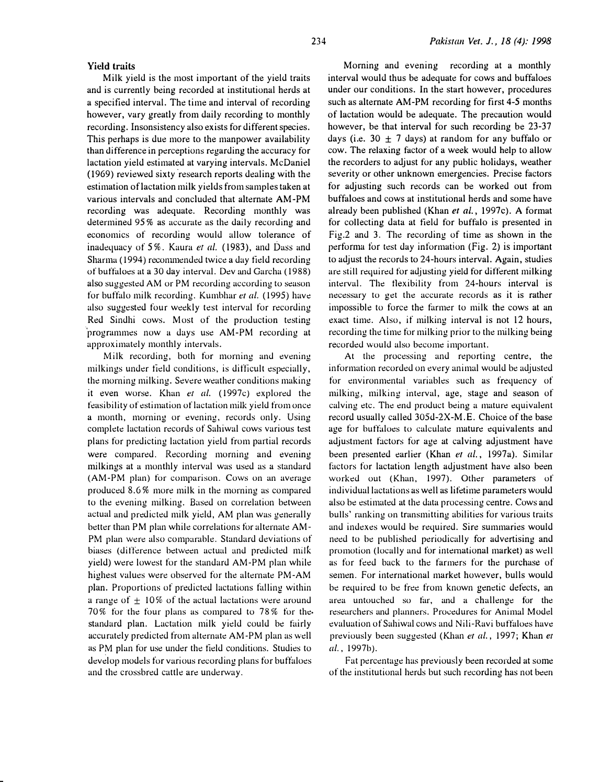#### Yield traits

Milk yield is the most important of the yield traits and is currently being recorded at institutional herds at a specified interval. The time and interval of recording however, vary greatly from daily recording to monthly recording. Insonsistency also exists for different species. This perhaps is due more to the manpower availability than difference in perceptions regarding the accuracy for lactation yield estimated at varying intervals. McDaniel (1969) reviewed sixty research reports dealing with the estimation of lactation milk yields from samples taken at various intervals and concluded that alternate AM-PM recording was adequate. Recording monthly was determined 95% as accurate as the daily recording and economics of recording would allow tolerance of inadequacy of 5%. Kaura et al. (1983), and Dass and Sharma ( 1994) reconunended twice a day tield recording of buffaloes at a 30 day interval. Dev �md Garcha (1988) also suggested AM or PM recording according to season for buffalo milk recording. Kumbhar et al. (1995) have also suggested four weekly test interval for recording Red Sindhi cows. Most of the production testing 'programmes now a days use AM-PM recording at approximately monthly intervals.

Milk recording, both for morning and evening milkings under tield conditions, is difficult especially, the morning milking. Severe weather conditions making it even worse. Khan er al. (1997c) explored the feasibility of estimation of lactation milk yield from once a month, morning or evening, records only. Using complete lactation records of Sahiwal cows various test plans for predicting lactation yield from partial records were compared. Recording morning and evening milkings at a monthly interval was used as a standard (AM-PM plan) for comparison. Cows on an average produced 8.6% more milk in the morning as compared to the evening milking. Based on correlation between actual and predicted milk yield, AM plan was generally better than PM plan while correlations for alternate AM-PM plan were also comparable. Standard deviations of biases (difference between actual and predicted milk yield) were lowest for the standard AM-PM plan while highest values were observed for the alternate PM-AM plan. Proportions of predicted lactations falling within a range of  $\pm$  10% of the actual lactations were around 70% for the four plans as compared to 78% for thestandard plan. Lactation milk yield could be fairly accurately predicted from alternate AM-PM plan as well as PM plan for use under the field conditions. Studies to develop models for various recording plans for buffaloes and the crossbred cattle are underway.

Morning and evening recording at a monthly interval would thus be adequate for cows and buffaloes under our conditions. In the start however, procedures such as alternate AM-PM recording for first 4-5 months of lactation would be adequate. The precaution would however, be that interval for such recording be 23-37 days (i.e. 30  $\pm$  7 days) at random for any buffalo or cow. The relaxing factor of a week would help to allow the recorders to adjust for any public holidays, weather severity or other unknown emergencies. Precise factors for adjusting such records can be worked out from buffaloes and cows at institutional herds and some have already been published (Khan et al., 1997c). A format for collecting data at field for buffalo is presented in Fig.2 and 3. The recording of time as shown in the performa for test day information (Fig. 2) is important to adjust the records to 24-hours interval. Again, studies are still required for adjusting yield for different milking interval. The tlexibility from 24-hours interval is necessary to get the accurate records as it is rather impossible to force the farmer to milk the cows at an exact time. Also, if milking interval is not 12 hours, recording the time for milking prior to the milking being recorded would also become important.

At the processing and reporting centre, the information recorded on every animal would be adjusted for environmental variables such as frequency of milking, milking interval, age, stage and season of calving etc. The end product being a mature equivalent record usually called 305d-2X-M. E. Choice of the base age for buffaloes to calculate mature equivalents and adjustment factors for age at calving adjustment have been presented earlier (Khan et al., 1997a). Similar factors for lactation length adjustment have also been worked out (Khan, 1997). Other parameters of individual lactations as well as lifetime parameters would also be estimated at the data processing centre. Cows and bulls' ranking on transmitting abilities for various traits and indexes would be required. Sire summaries would need to be published periodically for advertising and promotion (locally and for intemational market) as well as for feed back to the farmers for the purchase of semen. For international market however, bulls would be required to be free from known genetic defects, an area untouched so far, and a challenge for the researchers and planners. Procedures for Animal Model evaluation of Sahiwal cows and Nili-Ravi bufhdoes have previously been suggested (Khan et al., 1997; Khan et al., 1997b).

Fat percentage has previously been recorded at some of the institutional herds but such recording has not been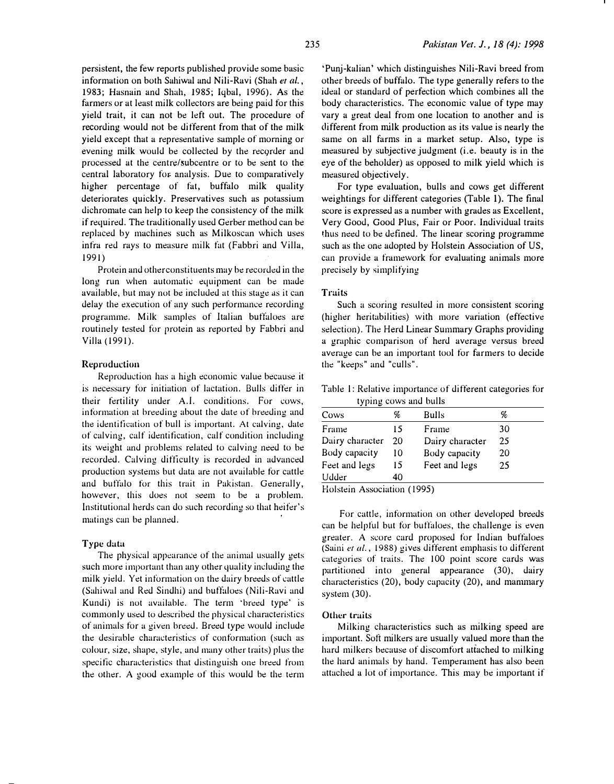persistent, the few reports published provide some basic information on both Sahiwal and Nili-Ravi (Shah et al., 1983; Hasnain and Shah, 1985; Iqbal, 1996). As the farmers or at least milk collectors are being paid tor this yield trait, it can not be left out. The procedure of recording would not be different from that of the milk yield except that a representative sample of morning or evening milk would be collected by the recorder and processed at the centre/subcentre or to be sent to the central laboratory for- analysis. Due to comparatively higher percentage of fat, buffalo milk quality deteriorates quickly. Preservatives such as potassium dichromate can help to keep the consistency of the milk if required. The traditionally used Gerber method can be replaced by machines such as Milkoscan which uses infra red rays to measure milk fat (Fabbri and Villa, 1991)

Protein and other constituents may be recorded in the long run when automatic equipment can be made available, but may not be included at this stage as it can delay the execution of any such performance recording programme. Milk samples of Italian buffaloes are routinely tested for protein as reported by Fabbri and Villa ( 1991).

#### Reproduction

Reproduction has a high economic value because it is necessary for initiation of lactation. Bulls differ in their fertility under A.l. conditions. For cows, information at breeding about the date of breeding and the identification of bull is important. At calving, date of calving, calf identification, calf condition including its weight and problems related to calving need to be recorded. Calving difticulty is recorded in advanced production systems but data are not available for cattle and buffalo for this trait in Pakistan. Generally, however, this does not seem to be a problem. Institutional herds can do such recording. so that heifer's matings can be planned.

# Type data

The physical appearance of the animal usually gets such more important than any other quality including the milk yield. Yet information on the dairy breeds of cattle (Sahiwal and Red Sindhi) and buffaloes (Nili-Ravi and Kundi) is not available. The term 'breed type' is commonly used to described the physical characteristics of animals for a given breed. Breed type would include the desirable characteristics of conformation (such as colour, size, shape, style, and many other traits) plus the specific characteristics that distinguish one breed from the other. A good example of this would be the term

'Punj-kalian' which distinguishes Nili-Ravi breed from other breeds of buffalo. The type generally refers to the ideal or standard of perfection which combines all the body characteristics. The economic value of type may vary a great deal from one location to another and is different from milk production as its value is nearly the same on all farms in a market setup. Also, type is measured by subjective judgment (i.e. beauty is in the eye of the beholder) as opposed to milk yield which is measured objectively.

For type evaluation, bulls and cows get different weightings for different categories (Table 1). The final score is expressed as a number with grades as Excellent, Very Good, Good Plus, Fair or Poor. Individual traits thus need to be defined. The linear scoring programme such as the one adopted by Holstein Association of US, can provide a framework for evaluating animals more precisely by simplifying

#### Traits

Such a scoring resulted in more consistent scoring (higher heritabilities) with more variation (effective selection). The Herd Linear Summary Graphs providing a graphic comparison of herd average versus breed average can be an important tool for farmers to decide the "keeps" and "culls".

Table I: Relative importance of different categories for typing cows and bulls

| Cows            | %  | Bulls           | %  |
|-----------------|----|-----------------|----|
| Frame           | 15 | Frame           | 30 |
| Dairy character | 20 | Dairy character | 25 |
| Body capacity   | 10 | Body capacity   | 20 |
| Feet and legs   | 15 | Feet and legs   | 25 |
| Udder           | 40 |                 |    |
|                 |    |                 |    |

Holstein Association ( 1995)

For cattle, information on other developed breeds can be helpful but for buffaloes, the challenge is even greater. A score card proposed for Indian buffaloes (Saini et al., 1988) gives different emphasis to different categories of traits. The 100 point score cards was partitioned into general appearance (30), dairy characteristics (20), body capacity (20), and manunary system (30).

# Other traits

Milking characteristics such as milking speed are important. Sott milkers are usually valued more than the hard milkers because of discomfort attached to milking the hard animals by hand. Temperament has also been attached a lot of importance. This may be important if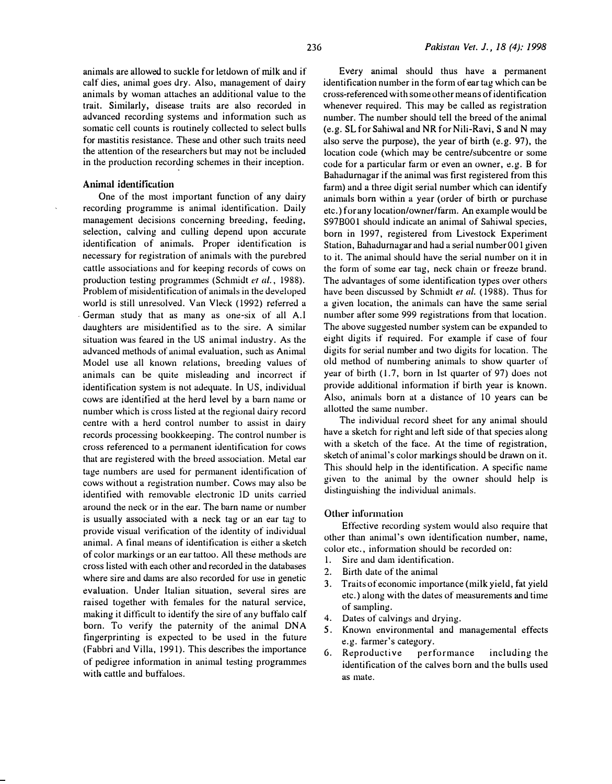animals are allowed to suckle for letdown of milk and if calf dies, animal goes dry. Also, management of dairy animals by woman attaches an additional value to the trait. Similarly, disease traits are also recorded in advanced recording systems and information such as somatic cell counts is routinely collected to select bulls for mastitis resistance. These and other such traits need the attention of the researchers but may not be included in the production recording schemes in their inception.

# Animal identification

One of the most important function of any dairy recording programme is animal identification. Daily management decisions concerning breeding, feeding, selection, calving and culling depend upon accurate identification of animals. Proper identification is necessary for registration of animals with the purebred cattle associations and for keeping records of cows on production testing programmes (Schmidt er al., 1988). Problem of misidentification of animals in the developed world is still unresolved. Van Vleck (1992) referred a German study that as many as one-six of all A.I daughters are misidentified as to the sire. A similar situation was feared in the US animal industry. As the advanced methods of animal evaluation, such as Animal Model use all known relations, breeding values of animals can be quite misleading and incorrect if identification system is not adequate. In US, individual cows are identified at the herd level by a barn name or. number which is cross listed at the regional dairy record centre with a herd control number to assist in dairy records processing bookkeeping. The control number is cross referenced to a permanent identification for cows that are registered with the breed association. Metal ear tage numbers are used for permanent identification of cows without a registration number. Cows may also be identified with removable dectronic ID units carried around the neck or in the ear. The barn name or number is usually associated with a neck tag or an ear tag to provide visual verification of the identity of individual animal. A final means of identification is either a sketch of color markings or an ear tattoo. All these methods are cross listed with each other and recorded in the databases where sire and dams are also recorded for use in genetic evaluation. Under Italian situation, several sires are raised together with females for the natural service, making it difticult to identify the sire of any buffalo calf born. To verify the paternity of the animal DNA fingerprinting is expected to be used in the future ( Fabbri and Villa, 1991). This describes the importance of pedigree information in animal testing programmes with cattle and buffaloes.

Every animal should thus have a permanent identification number in the form of ear tag which can be cross-referenced with some other means of identi ficution whenever required. This may be called as registration number. The number should tell the breed of the animal (e.g. SL for Sahiwal and NR for Nili-Ravi, S and N may also serve the purpose), the year of birth (e.g. 97), the location code (which may be centre/subcentre or some code for a particular farm or even an owner, e.g. B for Bahadurnagar if the animal was first registered from this farm) and a three digit serial number which can identify animals born within a year (order of birth or purchase etc.) for any location/owner/farm. An example would be S97B001 should indicate an animal of Sahiwal species, born in 1997, registered from Livestock Experiment Station, Bahadurnagar and had a serial number 001 given to it. The animal should have the serial number on it in the form of some ear tag, neck chain or freeze brand. The advantages of some identification types over others have been discussed by Schmidt et al. (1988). Thus for a given location, the animals can have the same serial number after some 999 registrations from that location . The above suggested number system can be expanded to eight digits if required. For example if case of four digits for serial number and two digits for location. The old method of numbering animals to show quarter of year of birth  $(1.7,$  born in Ist quarter of 97) does not provide additional information if birth year is known. Also, animals born at a distance of 10 years can be allotted the same number.

The individual record sheet for any animal should have a sketch for right and left side of that species along with a sketch of the face. At the time of registration, sketch of animal's color markings should be drawn on it. This should help in the identification. A specific name given to the animal by the owner should help is distinguishing the individual animals.

#### Other information

Effective recording system would also require that other than animal's own identification number, name, color etc., information should be recorded on:

- 1. Sire and dam identification.
- 2. Birth date of the animal
- 3. Traits of economic importance (milk yield, fat yield etc.) along with the dates of measurements and time of sampling.
- 4. Dates of calvings and drying.
- 5. Known environmental and managemental effects e.g. farmer's category.
- 6. Reproductive performance including the identification of the calves born and the bulls used as mate.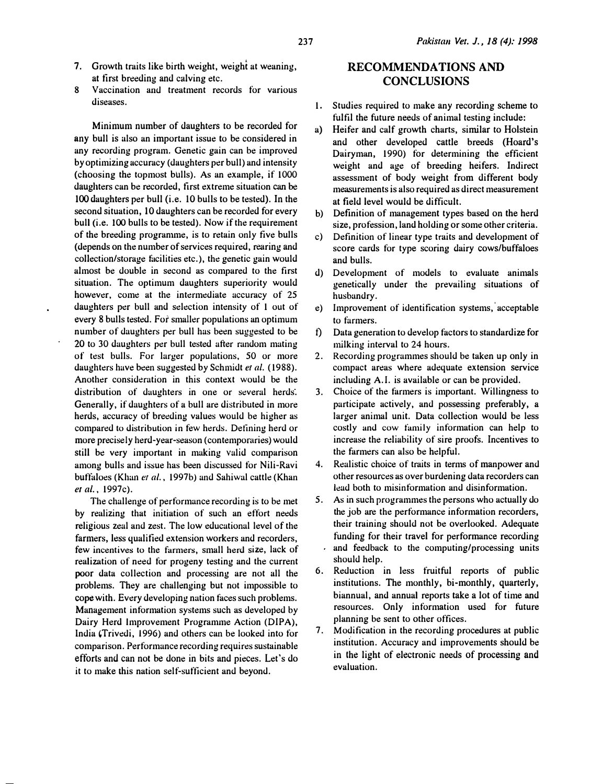- 7. Growth traits like birth weight, weight at weaning, at tirst breeding and calving etc.
- 8 Vaccination and treatment records for various diseases.

Minimum number of daughters to be recorded for any bull is also an important issue to be considered in any recording program. Genetic gain can be improved by optimizing accuracy (daughters per bull) and intensity (choosing the topmost bulls). As an example, if 1000 daughters can be recorded, tirst extreme situation can be 100 daughters per bull (i.e. 10 bulls to be tested). In the second situation, 10 daughters can be recorded for every bull (i.e. 100 bulls to be tested). Now if the requirement of the breeding programme, is to retain only five bulls (depends on the number of services required, rearing and collection/storage facilities etc.), the genetic gain would almost be double in second as compared to the first situation. The optimum daughters superiority would however, come at the intermediate accuracy of 25 daughters per bull and selection intensity of 1 out of every 8 bulls tested. For smaller populations an optimum number of daughters per bull has been suggested to be 20 to 30 daughters per bull tested after random mating of test bulls. For larger populations, 50 or more daughters have been suggested by Schmidt et al. (1988). Another consideration in this context would be the distribution of duughters in one or several herds. Generally, if daughters of a bull are distributed in more herds, accuracy of breeding values would be higher as compared to distribution in few herds. Detining herd or more precisely herd-year-season (contemporaries) would still be very important in making valid comparison among bulls and issue has been discussed for Nili-Ravi buffaloes (Khan et al., 1997b) and Sahiwal cattle (Khan et al., 1997c).

The challenge of performance recording is to be met by realizing that initiation of such an effort needs religious zeal and zest. The low educational level of the farmers, less qualified extension workers and recorders, few incentives to the farmers, small herd size, lack of realization of need for progeny testing and the current poor data collection and processing are not all the problems. They are challenging but not impossible to cope with. Every developing nation faces such problems. Management information systems such as developed by Dairy Herd Improvement Programme Action (DIPA), India (Trivedi, 1996) and others can be looked into for comparison. Performance recording requires sustainable efforts and can not be done in bits and pieces. Let's do it to make this nation self-sufticient and beyond.

# RECOMMENDATIONS AND **CONCLUSIONS**

- 1. Studies required to make any recording scheme to fulfil the future needs of animal testing include:
- a) Heifer and calf growth charts, similar to Holstein and other developed cattle breeds (Hoard's Dairyman, 1990) for determining the efficient weight and age of breeding heifers. Indirect assessment of body weight from different body measurements is also required as direct measurement at field level would be difficult.
- b) Definition of management types based on the herd size, profession, land holding or some other criteria.
- c) Definition of linear type traits and development of score cards for type scoring dairy cows/buffaloes and bulls.
- d) Development of models to evaluate animals genetically under the prevailing situations of husbandry.
- e) Improvement of identification systems, acceptable to farmers.
- t) Data generation to develop factors to standardize for milking interval to 24 hours.
- 2. Recording programmes should be taken up only in compact areas where adequate extension service including A. I. is available or can be provided.
- 3. Choice of the farmers is important. Willingness to participate actively, and possessing preferably, <sup>a</sup> larger animal unit. Data collection would be less costly and cow family information can help to increase the reliability of sire proofs. Incentives to the farmers can also be helpful.
- 4. Realistic choice of traits in terms of manpower and other resources as over burdening data recorders can lead both to misinformation and disinformation.
- 5. As in such programmes the persons who actually do the job are the performance information recorders, their training should not be overlooked. Adequate funding for their travel for performance recording and feedback to the computing/processing units should help.
- 6. Reduction in less fruitful reports of public institutions. The monthly, bi-monthly, quarterly, biannual, and annual reports take a lot of time and resources. Only information used for future planning be sent to other offices.
- Modification in the recording procedures at public institution. Accuracy and improvements should be in the light of electronic needs of processing and evaluation.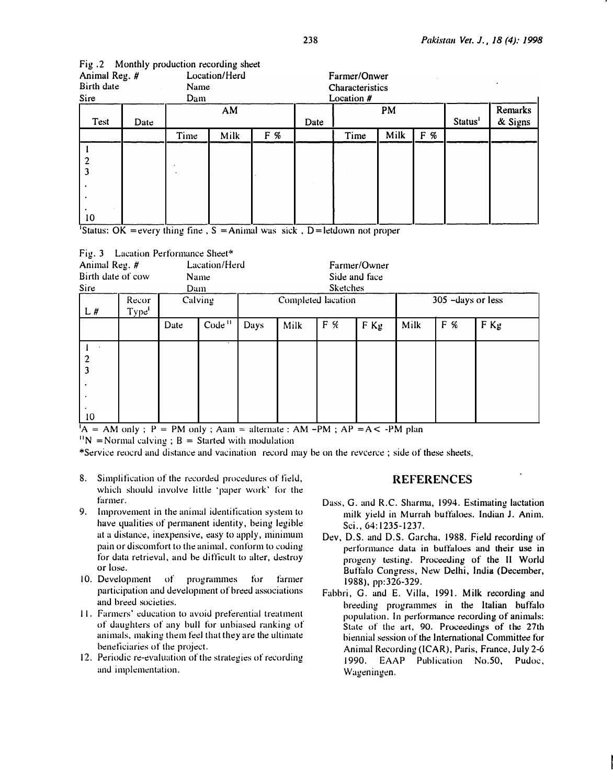| - - -<br>Animal Reg. #<br>Location/Herd<br>Birth date<br>Name<br>Sire<br>Dam |      |      |      | Farmer/Onwer<br>Characteristics<br>Location # |      |      |      |     |                     |                    |
|------------------------------------------------------------------------------|------|------|------|-----------------------------------------------|------|------|------|-----|---------------------|--------------------|
| Test                                                                         | Date |      | AM   |                                               | Date |      | PM   |     | Status <sup>1</sup> | Remarks<br>& Signs |
|                                                                              |      | Time | Milk | F %                                           |      | Time | Milk | F % |                     |                    |
| 10                                                                           |      |      |      |                                               |      |      |      |     |                     |                    |

| Fig. 2 Monthly production recording sheet |  |  |  |  |  |
|-------------------------------------------|--|--|--|--|--|
|-------------------------------------------|--|--|--|--|--|

Status: OK = every thing fine,  $S =$  Animal was sick, D = letdown not proper

| Fig. 3 Lacation Performance Sheet*<br>Animal Reg. #<br>Lacation/Herd<br>Birth date of cow<br>Name<br>Sire<br>Dam |                            |      |                    |      | Farmer/Owner<br>Side and face<br><b>Sketches</b> |     |        |                    |     |        |  |
|------------------------------------------------------------------------------------------------------------------|----------------------------|------|--------------------|------|--------------------------------------------------|-----|--------|--------------------|-----|--------|--|
| L#                                                                                                               | Recor<br>Type <sup>1</sup> |      | Calving            |      | Completed lacation                               |     |        | 305 - days or less |     |        |  |
|                                                                                                                  |                            | Date | Code <sup>11</sup> | Days | Milk                                             | F % | $F$ Kg | Milk               | F % | $F$ Kg |  |
| $\frac{2}{3}$<br>10                                                                                              |                            |      |                    |      |                                                  |     |        |                    |     |        |  |

 ${}^{1}A = AM$  only; P = PM only; Aam = alternate : AM -PM; AP = A < -PM plan

 $11N$  = Normal calving; B = Started with modulation

\*Service reocrd and distance and vacination record may be on the revcerce; side of these sheets.

- 8. Simplification of the recorded procedures of field, which should involve little 'paper work' for the farmer.
- 9. Improvement in the animal identification system to have qualities of permanent identity, being legible at a distance, inexpensive, easy to apply, minimum pain or discomfort to the animal, conform to coding for data retrieval, and be difficult to alter, destroy or lose.
- 10. Development of programmes for farmer participation and development of breed associations and breed societies.
- 11. Farmers' education to avoid preferential treatment of daughters of any bull for unbiased ranking of animals, making them feel that they are the ultimate beneficiaries of the projed.
- 12. Periodic re-evaluation of the strategies of recording and implementation.

# REFERENCES

- Dass, G. and R.C. Sharma, 1994. Estimating lactation milk vield in Murrah buffaloes. Indian J. Anim. Sci., 64:1235-1237.
- Dev, D.S. and D.S. Garcha, 1988. Field recording of performance data in buffaloes and their use in progeny testing. Proceeding of the II World Buffalo Congress, New Delhi, India (December, 1988), pp:326-329.
- Fabbri, G. and E. Villa, 1991. Milk recording and breeding programmes in the Italian buffalo population. In performance recording of animals: State of the art, 90. Proceedings of the 27th biennial session of the International Committee tor Animal Recording (ICAR), Paris, France, July 2-6 1990. EAAP Publication No.50, Pudoc, Wageningen.